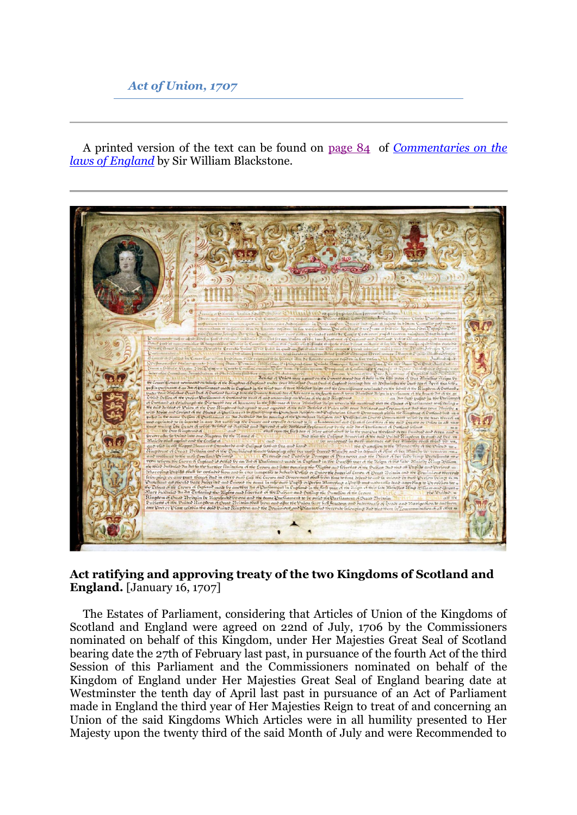A printed version of the text can be found on [page 84](http://books.google.com/books?id=AGMWAAAAYAAJ&dq=%22Act%20of%20Union%22%201707&pg=PA84#v=onepage&q=%22Act%20of%20Union%22%201707&f=false) of *[Commentaries on the](http://books.google.com/books?id=AGMWAAAAYAAJ)  [laws of England](http://books.google.com/books?id=AGMWAAAAYAAJ)* by Sir William Blackstone.



# **Act ratifying and approving treaty of the two Kingdoms of Scotland and England.** [January 16, 1707]

The Estates of Parliament, considering that Articles of Union of the Kingdoms of Scotland and England were agreed on 22nd of July, 1706 by the Commissioners nominated on behalf of this Kingdom, under Her Majesties Great Seal of Scotland bearing date the 27th of February last past, in pursuance of the fourth Act of the third Session of this Parliament and the Commissioners nominated on behalf of the Kingdom of England under Her Majesties Great Seal of England bearing date at Westminster the tenth day of April last past in pursuance of an Act of Parliament made in England the third year of Her Majesties Reign to treat of and concerning an Union of the said Kingdoms Which Articles were in all humility presented to Her Majesty upon the twenty third of the said Month of July and were Recommended to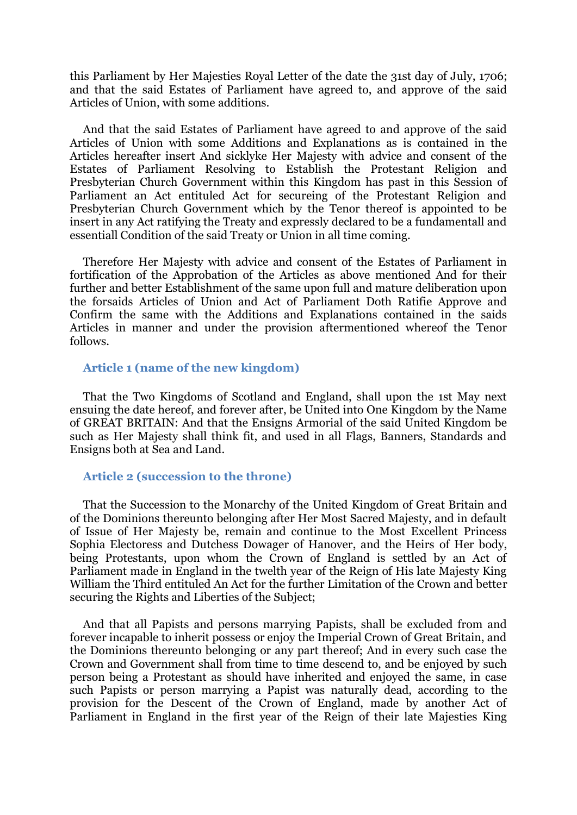this Parliament by Her Majesties Royal Letter of the date the 31st day of July, 1706; and that the said Estates of Parliament have agreed to, and approve of the said Articles of Union, with some additions.

And that the said Estates of Parliament have agreed to and approve of the said Articles of Union with some Additions and Explanations as is contained in the Articles hereafter insert And sicklyke Her Majesty with advice and consent of the Estates of Parliament Resolving to Establish the Protestant Religion and Presbyterian Church Government within this Kingdom has past in this Session of Parliament an Act entituled Act for secureing of the Protestant Religion and Presbyterian Church Government which by the Tenor thereof is appointed to be insert in any Act ratifying the Treaty and expressly declared to be a fundamentall and essentiall Condition of the said Treaty or Union in all time coming.

Therefore Her Majesty with advice and consent of the Estates of Parliament in fortification of the Approbation of the Articles as above mentioned And for their further and better Establishment of the same upon full and mature deliberation upon the forsaids Articles of Union and Act of Parliament Doth Ratifie Approve and Confirm the same with the Additions and Explanations contained in the saids Articles in manner and under the provision aftermentioned whereof the Tenor follows.

## **Article 1 (name of the new kingdom)**

That the Two Kingdoms of Scotland and England, shall upon the 1st May next ensuing the date hereof, and forever after, be United into One Kingdom by the Name of GREAT BRITAIN: And that the Ensigns Armorial of the said United Kingdom be such as Her Majesty shall think fit, and used in all Flags, Banners, Standards and Ensigns both at Sea and Land.

## **Article 2 (succession to the throne)**

That the Succession to the Monarchy of the United Kingdom of Great Britain and of the Dominions thereunto belonging after Her Most Sacred Majesty, and in default of Issue of Her Majesty be, remain and continue to the Most Excellent Princess Sophia Electoress and Dutchess Dowager of Hanover, and the Heirs of Her body, being Protestants, upon whom the Crown of England is settled by an Act of Parliament made in England in the twelth year of the Reign of His late Majesty King William the Third entituled An Act for the further Limitation of the Crown and better securing the Rights and Liberties of the Subject;

And that all Papists and persons marrying Papists, shall be excluded from and forever incapable to inherit possess or enjoy the Imperial Crown of Great Britain, and the Dominions thereunto belonging or any part thereof; And in every such case the Crown and Government shall from time to time descend to, and be enjoyed by such person being a Protestant as should have inherited and enjoyed the same, in case such Papists or person marrying a Papist was naturally dead, according to the provision for the Descent of the Crown of England, made by another Act of Parliament in England in the first year of the Reign of their late Majesties King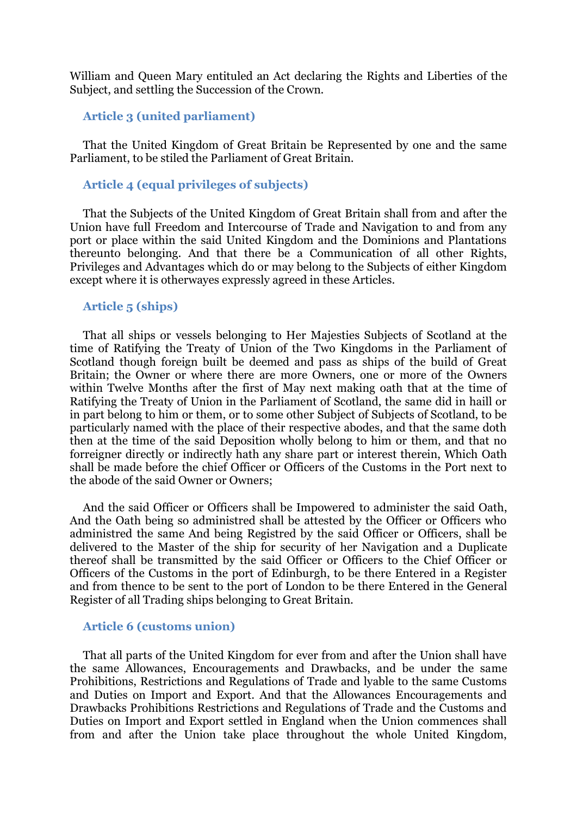William and Queen Mary entituled an Act declaring the Rights and Liberties of the Subject, and settling the Succession of the Crown.

## **Article 3 (united parliament)**

That the United Kingdom of Great Britain be Represented by one and the same Parliament, to be stiled the Parliament of Great Britain.

# **Article 4 (equal privileges of subjects)**

That the Subjects of the United Kingdom of Great Britain shall from and after the Union have full Freedom and Intercourse of Trade and Navigation to and from any port or place within the said United Kingdom and the Dominions and Plantations thereunto belonging. And that there be a Communication of all other Rights, Privileges and Advantages which do or may belong to the Subjects of either Kingdom except where it is otherwayes expressly agreed in these Articles.

## **Article 5 (ships)**

That all ships or vessels belonging to Her Majesties Subjects of Scotland at the time of Ratifying the Treaty of Union of the Two Kingdoms in the Parliament of Scotland though foreign built be deemed and pass as ships of the build of Great Britain; the Owner or where there are more Owners, one or more of the Owners within Twelve Months after the first of May next making oath that at the time of Ratifying the Treaty of Union in the Parliament of Scotland, the same did in haill or in part belong to him or them, or to some other Subject of Subjects of Scotland, to be particularly named with the place of their respective abodes, and that the same doth then at the time of the said Deposition wholly belong to him or them, and that no forreigner directly or indirectly hath any share part or interest therein, Which Oath shall be made before the chief Officer or Officers of the Customs in the Port next to the abode of the said Owner or Owners;

And the said Officer or Officers shall be Impowered to administer the said Oath, And the Oath being so administred shall be attested by the Officer or Officers who administred the same And being Registred by the said Officer or Officers, shall be delivered to the Master of the ship for security of her Navigation and a Duplicate thereof shall be transmitted by the said Officer or Officers to the Chief Officer or Officers of the Customs in the port of Edinburgh, to be there Entered in a Register and from thence to be sent to the port of London to be there Entered in the General Register of all Trading ships belonging to Great Britain.

## **Article 6 (customs union)**

That all parts of the United Kingdom for ever from and after the Union shall have the same Allowances, Encouragements and Drawbacks, and be under the same Prohibitions, Restrictions and Regulations of Trade and lyable to the same Customs and Duties on Import and Export. And that the Allowances Encouragements and Drawbacks Prohibitions Restrictions and Regulations of Trade and the Customs and Duties on Import and Export settled in England when the Union commences shall from and after the Union take place throughout the whole United Kingdom,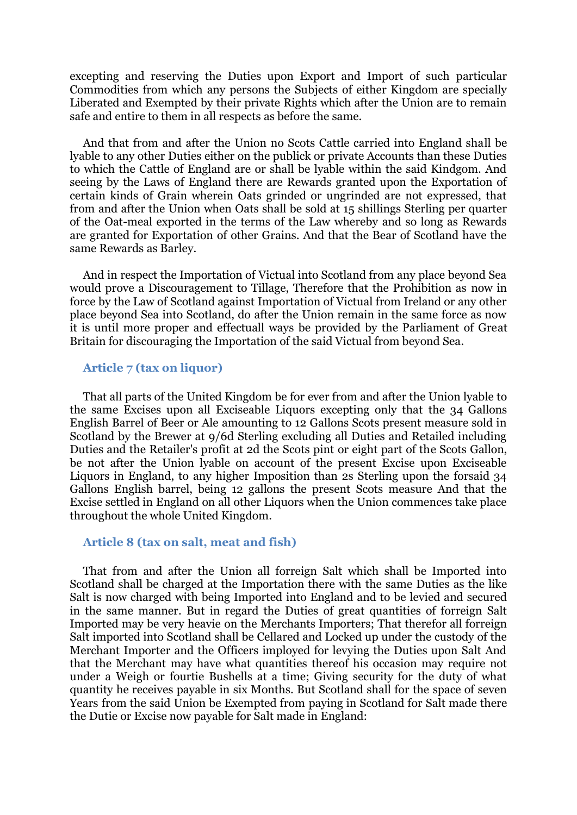excepting and reserving the Duties upon Export and Import of such particular Commodities from which any persons the Subjects of either Kingdom are specially Liberated and Exempted by their private Rights which after the Union are to remain safe and entire to them in all respects as before the same.

And that from and after the Union no Scots Cattle carried into England shall be lyable to any other Duties either on the publick or private Accounts than these Duties to which the Cattle of England are or shall be lyable within the said Kindgom. And seeing by the Laws of England there are Rewards granted upon the Exportation of certain kinds of Grain wherein Oats grinded or ungrinded are not expressed, that from and after the Union when Oats shall be sold at 15 shillings Sterling per quarter of the Oat-meal exported in the terms of the Law whereby and so long as Rewards are granted for Exportation of other Grains. And that the Bear of Scotland have the same Rewards as Barley.

And in respect the Importation of Victual into Scotland from any place beyond Sea would prove a Discouragement to Tillage, Therefore that the Prohibition as now in force by the Law of Scotland against Importation of Victual from Ireland or any other place beyond Sea into Scotland, do after the Union remain in the same force as now it is until more proper and effectuall ways be provided by the Parliament of Great Britain for discouraging the Importation of the said Victual from beyond Sea.

## **Article 7 (tax on liquor)**

That all parts of the United Kingdom be for ever from and after the Union lyable to the same Excises upon all Exciseable Liquors excepting only that the 34 Gallons English Barrel of Beer or Ale amounting to 12 Gallons Scots present measure sold in Scotland by the Brewer at 9/6d Sterling excluding all Duties and Retailed including Duties and the Retailer's profit at 2d the Scots pint or eight part of the Scots Gallon, be not after the Union lyable on account of the present Excise upon Exciseable Liquors in England, to any higher Imposition than 2s Sterling upon the forsaid 34 Gallons English barrel, being 12 gallons the present Scots measure And that the Excise settled in England on all other Liquors when the Union commences take place throughout the whole United Kingdom.

### **Article 8 (tax on salt, meat and fish)**

That from and after the Union all forreign Salt which shall be Imported into Scotland shall be charged at the Importation there with the same Duties as the like Salt is now charged with being Imported into England and to be levied and secured in the same manner. But in regard the Duties of great quantities of forreign Salt Imported may be very heavie on the Merchants Importers; That therefor all forreign Salt imported into Scotland shall be Cellared and Locked up under the custody of the Merchant Importer and the Officers imployed for levying the Duties upon Salt And that the Merchant may have what quantities thereof his occasion may require not under a Weigh or fourtie Bushells at a time; Giving security for the duty of what quantity he receives payable in six Months. But Scotland shall for the space of seven Years from the said Union be Exempted from paying in Scotland for Salt made there the Dutie or Excise now payable for Salt made in England: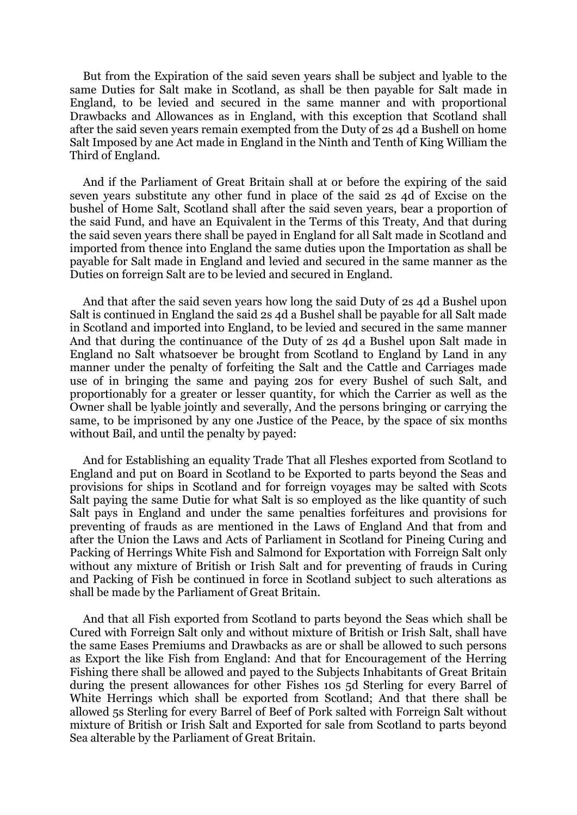But from the Expiration of the said seven years shall be subject and lyable to the same Duties for Salt make in Scotland, as shall be then payable for Salt made in England, to be levied and secured in the same manner and with proportional Drawbacks and Allowances as in England, with this exception that Scotland shall after the said seven years remain exempted from the Duty of 2s 4d a Bushell on home Salt Imposed by ane Act made in England in the Ninth and Tenth of King William the Third of England.

And if the Parliament of Great Britain shall at or before the expiring of the said seven years substitute any other fund in place of the said 2s 4d of Excise on the bushel of Home Salt, Scotland shall after the said seven years, bear a proportion of the said Fund, and have an Equivalent in the Terms of this Treaty, And that during the said seven years there shall be payed in England for all Salt made in Scotland and imported from thence into England the same duties upon the Importation as shall be payable for Salt made in England and levied and secured in the same manner as the Duties on forreign Salt are to be levied and secured in England.

And that after the said seven years how long the said Duty of 2s 4d a Bushel upon Salt is continued in England the said 2s 4d a Bushel shall be payable for all Salt made in Scotland and imported into England, to be levied and secured in the same manner And that during the continuance of the Duty of 2s 4d a Bushel upon Salt made in England no Salt whatsoever be brought from Scotland to England by Land in any manner under the penalty of forfeiting the Salt and the Cattle and Carriages made use of in bringing the same and paying 20s for every Bushel of such Salt, and proportionably for a greater or lesser quantity, for which the Carrier as well as the Owner shall be lyable jointly and severally, And the persons bringing or carrying the same, to be imprisoned by any one Justice of the Peace, by the space of six months without Bail, and until the penalty by payed:

And for Establishing an equality Trade That all Fleshes exported from Scotland to England and put on Board in Scotland to be Exported to parts beyond the Seas and provisions for ships in Scotland and for forreign voyages may be salted with Scots Salt paying the same Dutie for what Salt is so employed as the like quantity of such Salt pays in England and under the same penalties forfeitures and provisions for preventing of frauds as are mentioned in the Laws of England And that from and after the Union the Laws and Acts of Parliament in Scotland for Pineing Curing and Packing of Herrings White Fish and Salmond for Exportation with Forreign Salt only without any mixture of British or Irish Salt and for preventing of frauds in Curing and Packing of Fish be continued in force in Scotland subject to such alterations as shall be made by the Parliament of Great Britain.

And that all Fish exported from Scotland to parts beyond the Seas which shall be Cured with Forreign Salt only and without mixture of British or Irish Salt, shall have the same Eases Premiums and Drawbacks as are or shall be allowed to such persons as Export the like Fish from England: And that for Encouragement of the Herring Fishing there shall be allowed and payed to the Subjects Inhabitants of Great Britain during the present allowances for other Fishes 10s 5d Sterling for every Barrel of White Herrings which shall be exported from Scotland; And that there shall be allowed 5s Sterling for every Barrel of Beef of Pork salted with Forreign Salt without mixture of British or Irish Salt and Exported for sale from Scotland to parts beyond Sea alterable by the Parliament of Great Britain.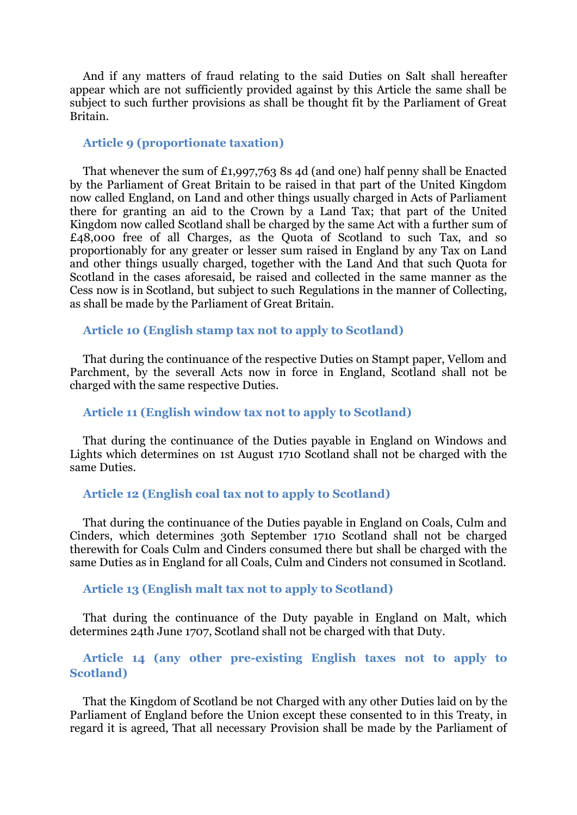And if any matters of fraud relating to the said Duties on Salt shall hereafter appear which are not sufficiently provided against by this Article the same shall be subject to such further provisions as shall be thought fit by the Parliament of Great Britain.

# **Article 9 (proportionate taxation)**

That whenever the sum of  $£1,997,763$  8s 4d (and one) half penny shall be Enacted by the Parliament of Great Britain to be raised in that part of the United Kingdom now called England, on Land and other things usually charged in Acts of Parliament there for granting an aid to the Crown by a Land Tax; that part of the United Kingdom now called Scotland shall be charged by the same Act with a further sum of £48,000 free of all Charges, as the Quota of Scotland to such Tax, and so proportionably for any greater or lesser sum raised in England by any Tax on Land and other things usually charged, together with the Land And that such Quota for Scotland in the cases aforesaid, be raised and collected in the same manner as the Cess now is in Scotland, but subject to such Regulations in the manner of Collecting, as shall be made by the Parliament of Great Britain.

### **Article 10 (English stamp tax not to apply to Scotland)**

That during the continuance of the respective Duties on Stampt paper, Vellom and Parchment, by the severall Acts now in force in England, Scotland shall not be charged with the same respective Duties.

## **Article 11 (English window tax not to apply to Scotland)**

That during the continuance of the Duties payable in England on Windows and Lights which determines on 1st August 1710 Scotland shall not be charged with the same Duties.

## **Article 12 (English coal tax not to apply to Scotland)**

That during the continuance of the Duties payable in England on Coals, Culm and Cinders, which determines 30th September 1710 Scotland shall not be charged therewith for Coals Culm and Cinders consumed there but shall be charged with the same Duties as in England for all Coals, Culm and Cinders not consumed in Scotland.

# **Article 13 (English malt tax not to apply to Scotland)**

That during the continuance of the Duty payable in England on Malt, which determines 24th June 1707, Scotland shall not be charged with that Duty.

# **Article 14 (any other pre-existing English taxes not to apply to Scotland)**

That the Kingdom of Scotland be not Charged with any other Duties laid on by the Parliament of England before the Union except these consented to in this Treaty, in regard it is agreed, That all necessary Provision shall be made by the Parliament of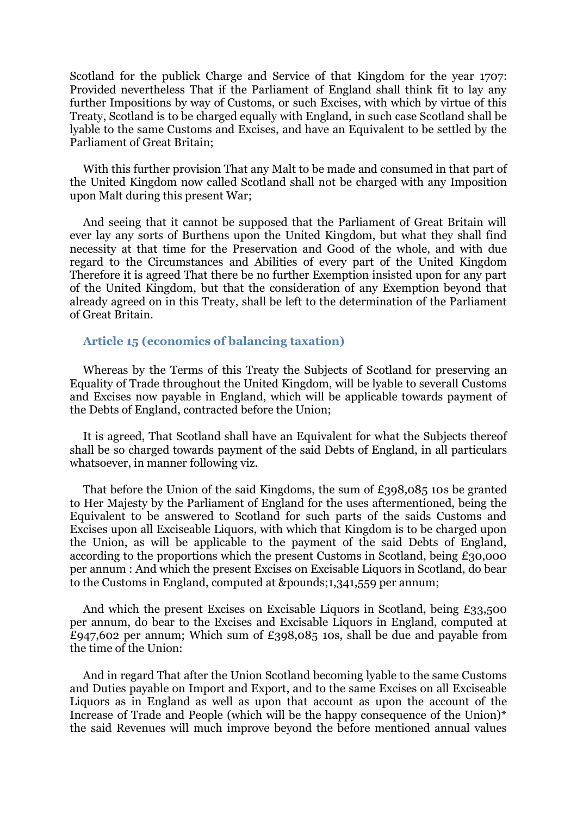Scotland for the publick Charge and Service of that Kingdom for the year 1707: Provided nevertheless That if the Parliament of England shall think fit to lay any further Impositions by way of Customs, or such Excises, with which by virtue of this Treaty, Scotland is to be charged equally with England, in such case Scotland shall be lyable to the same Customs and Excises, and have an Equivalent to be settled by the Parliament of Great Britain;

With this further provision That any Malt to be made and consumed in that part of the United Kingdom now called Scotland shall not be charged with any Imposition upon Malt during this present War;

And seeing that it cannot be supposed that the Parliament of Great Britain will ever lay any sorts of Burthens upon the United Kingdom, but what they shall find necessity at that time for the Preservation and Good of the whole, and with due regard to the Circumstances and Abilities of every part of the United Kingdom Therefore it is agreed That there be no further Exemption insisted upon for any part of the United Kingdom, but that the consideration of any Exemption beyond that already agreed on in this Treaty, shall be left to the determination of the Parliament of Great Britain.

## **Article 15 (economics of balancing taxation)**

Whereas by the Terms of this Treaty the Subjects of Scotland for preserving an Equality of Trade throughout the United Kingdom, will be lyable to severall Customs and Excises now payable in England, which will be applicable towards payment of the Debts of England, contracted before the Union;

It is agreed, That Scotland shall have an Equivalent for what the Subjects thereof shall be so charged towards payment of the said Debts of England, in all particulars whatsoever, in manner following viz.

That before the Union of the said Kingdoms, the sum of £398,085 10s be granted to Her Majesty by the Parliament of England for the uses aftermentioned, being the Equivalent to be answered to Scotland for such parts of the saids Customs and Excises upon all Exciseable Liquors, with which that Kingdom is to be charged upon the Union, as will be applicable to the payment of the said Debts of England, according to the proportions which the present Customs in Scotland, being £30,000 per annum : And which the present Excises on Excisable Liquors in Scotland, do bear to the Customs in England, computed at &pounds;1,341,559 per annum;

And which the present Excises on Excisable Liquors in Scotland, being £33,500 per annum, do bear to the Excises and Excisable Liquors in England, computed at £947,602 per annum; Which sum of £398,085 10s, shall be due and payable from the time of the Union:

And in regard That after the Union Scotland becoming lyable to the same Customs and Duties payable on Import and Export, and to the same Excises on all Exciseable Liquors as in England as well as upon that account as upon the account of the Increase of Trade and People (which will be the happy consequence of the Union)\* the said Revenues will much improve beyond the before mentioned annual values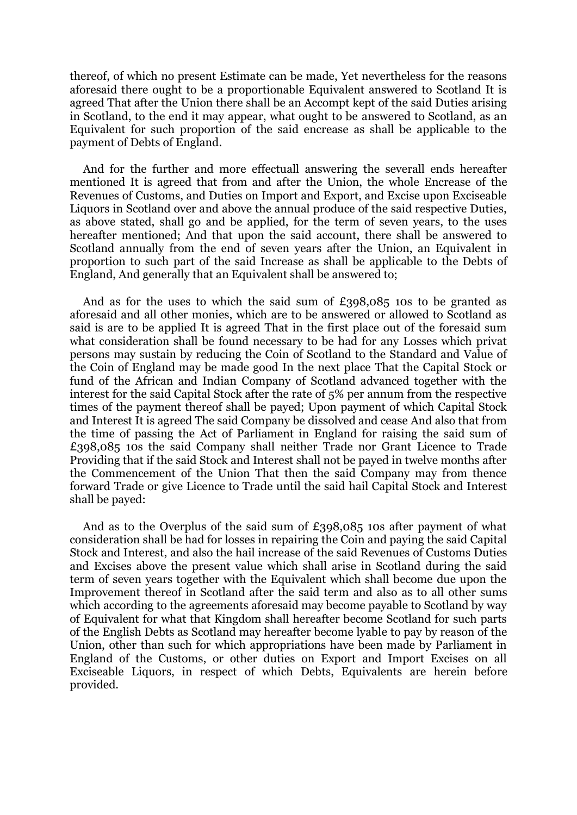thereof, of which no present Estimate can be made, Yet nevertheless for the reasons aforesaid there ought to be a proportionable Equivalent answered to Scotland It is agreed That after the Union there shall be an Accompt kept of the said Duties arising in Scotland, to the end it may appear, what ought to be answered to Scotland, as an Equivalent for such proportion of the said encrease as shall be applicable to the payment of Debts of England.

And for the further and more effectuall answering the severall ends hereafter mentioned It is agreed that from and after the Union, the whole Encrease of the Revenues of Customs, and Duties on Import and Export, and Excise upon Exciseable Liquors in Scotland over and above the annual produce of the said respective Duties, as above stated, shall go and be applied, for the term of seven years, to the uses hereafter mentioned; And that upon the said account, there shall be answered to Scotland annually from the end of seven years after the Union, an Equivalent in proportion to such part of the said Increase as shall be applicable to the Debts of England, And generally that an Equivalent shall be answered to;

And as for the uses to which the said sum of £398,085 10s to be granted as aforesaid and all other monies, which are to be answered or allowed to Scotland as said is are to be applied It is agreed That in the first place out of the foresaid sum what consideration shall be found necessary to be had for any Losses which privat persons may sustain by reducing the Coin of Scotland to the Standard and Value of the Coin of England may be made good In the next place That the Capital Stock or fund of the African and Indian Company of Scotland advanced together with the interest for the said Capital Stock after the rate of 5% per annum from the respective times of the payment thereof shall be payed; Upon payment of which Capital Stock and Interest It is agreed The said Company be dissolved and cease And also that from the time of passing the Act of Parliament in England for raising the said sum of £398,085 10s the said Company shall neither Trade nor Grant Licence to Trade Providing that if the said Stock and Interest shall not be payed in twelve months after the Commencement of the Union That then the said Company may from thence forward Trade or give Licence to Trade until the said hail Capital Stock and Interest shall be payed:

And as to the Overplus of the said sum of  $£398,085$  10s after payment of what consideration shall be had for losses in repairing the Coin and paying the said Capital Stock and Interest, and also the hail increase of the said Revenues of Customs Duties and Excises above the present value which shall arise in Scotland during the said term of seven years together with the Equivalent which shall become due upon the Improvement thereof in Scotland after the said term and also as to all other sums which according to the agreements aforesaid may become payable to Scotland by way of Equivalent for what that Kingdom shall hereafter become Scotland for such parts of the English Debts as Scotland may hereafter become lyable to pay by reason of the Union, other than such for which appropriations have been made by Parliament in England of the Customs, or other duties on Export and Import Excises on all Exciseable Liquors, in respect of which Debts, Equivalents are herein before provided.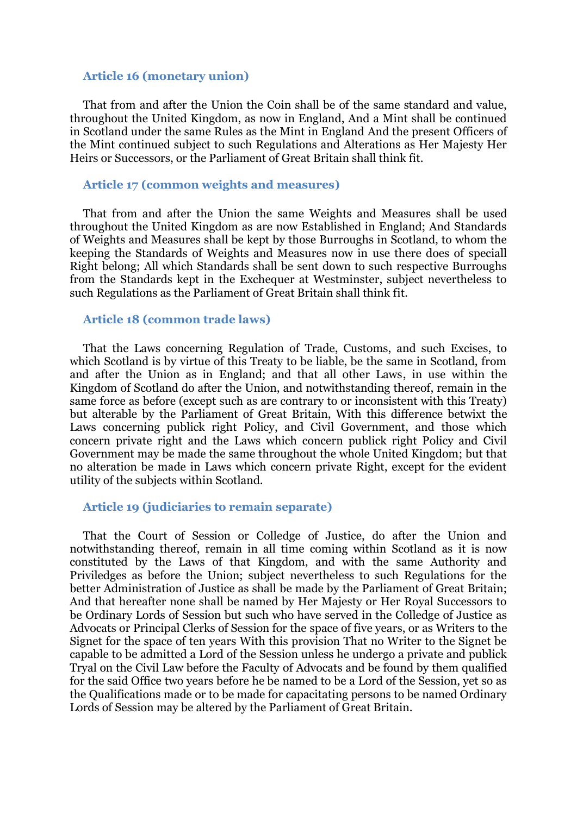## **Article 16 (monetary union)**

That from and after the Union the Coin shall be of the same standard and value, throughout the United Kingdom, as now in England, And a Mint shall be continued in Scotland under the same Rules as the Mint in England And the present Officers of the Mint continued subject to such Regulations and Alterations as Her Majesty Her Heirs or Successors, or the Parliament of Great Britain shall think fit.

# **Article 17 (common weights and measures)**

That from and after the Union the same Weights and Measures shall be used throughout the United Kingdom as are now Established in England; And Standards of Weights and Measures shall be kept by those Burroughs in Scotland, to whom the keeping the Standards of Weights and Measures now in use there does of speciall Right belong; All which Standards shall be sent down to such respective Burroughs from the Standards kept in the Exchequer at Westminster, subject nevertheless to such Regulations as the Parliament of Great Britain shall think fit.

### **Article 18 (common trade laws)**

That the Laws concerning Regulation of Trade, Customs, and such Excises, to which Scotland is by virtue of this Treaty to be liable, be the same in Scotland, from and after the Union as in England; and that all other Laws, in use within the Kingdom of Scotland do after the Union, and notwithstanding thereof, remain in the same force as before (except such as are contrary to or inconsistent with this Treaty) but alterable by the Parliament of Great Britain, With this difference betwixt the Laws concerning publick right Policy, and Civil Government, and those which concern private right and the Laws which concern publick right Policy and Civil Government may be made the same throughout the whole United Kingdom; but that no alteration be made in Laws which concern private Right, except for the evident utility of the subjects within Scotland.

# **Article 19 (judiciaries to remain separate)**

That the Court of Session or Colledge of Justice, do after the Union and notwithstanding thereof, remain in all time coming within Scotland as it is now constituted by the Laws of that Kingdom, and with the same Authority and Priviledges as before the Union; subject nevertheless to such Regulations for the better Administration of Justice as shall be made by the Parliament of Great Britain; And that hereafter none shall be named by Her Majesty or Her Royal Successors to be Ordinary Lords of Session but such who have served in the Colledge of Justice as Advocats or Principal Clerks of Session for the space of five years, or as Writers to the Signet for the space of ten years With this provision That no Writer to the Signet be capable to be admitted a Lord of the Session unless he undergo a private and publick Tryal on the Civil Law before the Faculty of Advocats and be found by them qualified for the said Office two years before he be named to be a Lord of the Session, yet so as the Qualifications made or to be made for capacitating persons to be named Ordinary Lords of Session may be altered by the Parliament of Great Britain.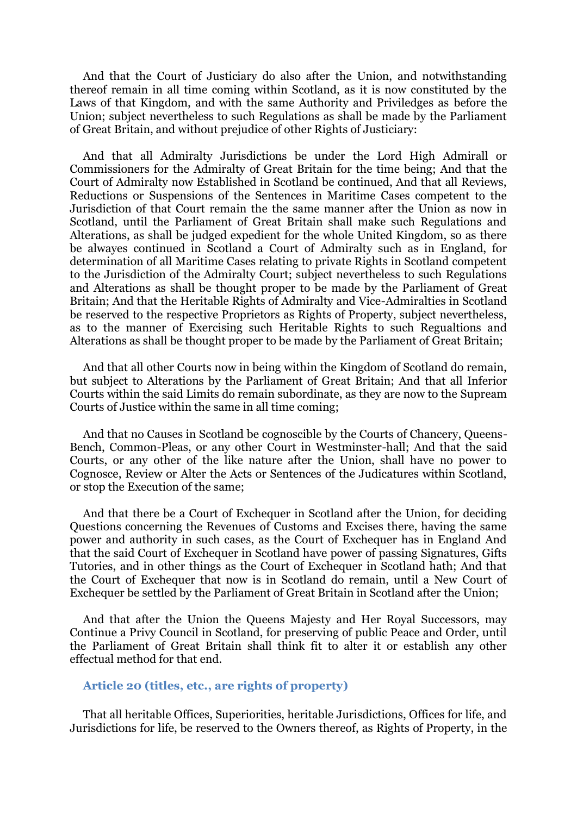And that the Court of Justiciary do also after the Union, and notwithstanding thereof remain in all time coming within Scotland, as it is now constituted by the Laws of that Kingdom, and with the same Authority and Priviledges as before the Union; subject nevertheless to such Regulations as shall be made by the Parliament of Great Britain, and without prejudice of other Rights of Justiciary:

And that all Admiralty Jurisdictions be under the Lord High Admirall or Commissioners for the Admiralty of Great Britain for the time being; And that the Court of Admiralty now Established in Scotland be continued, And that all Reviews, Reductions or Suspensions of the Sentences in Maritime Cases competent to the Jurisdiction of that Court remain the the same manner after the Union as now in Scotland, until the Parliament of Great Britain shall make such Regulations and Alterations, as shall be judged expedient for the whole United Kingdom, so as there be alwayes continued in Scotland a Court of Admiralty such as in England, for determination of all Maritime Cases relating to private Rights in Scotland competent to the Jurisdiction of the Admiralty Court; subject nevertheless to such Regulations and Alterations as shall be thought proper to be made by the Parliament of Great Britain; And that the Heritable Rights of Admiralty and Vice-Admiralties in Scotland be reserved to the respective Proprietors as Rights of Property, subject nevertheless, as to the manner of Exercising such Heritable Rights to such Regualtions and Alterations as shall be thought proper to be made by the Parliament of Great Britain;

And that all other Courts now in being within the Kingdom of Scotland do remain, but subject to Alterations by the Parliament of Great Britain; And that all Inferior Courts within the said Limits do remain subordinate, as they are now to the Supream Courts of Justice within the same in all time coming;

And that no Causes in Scotland be cognoscible by the Courts of Chancery, Queens-Bench, Common-Pleas, or any other Court in Westminster-hall; And that the said Courts, or any other of the like nature after the Union, shall have no power to Cognosce, Review or Alter the Acts or Sentences of the Judicatures within Scotland, or stop the Execution of the same;

And that there be a Court of Exchequer in Scotland after the Union, for deciding Questions concerning the Revenues of Customs and Excises there, having the same power and authority in such cases, as the Court of Exchequer has in England And that the said Court of Exchequer in Scotland have power of passing Signatures, Gifts Tutories, and in other things as the Court of Exchequer in Scotland hath; And that the Court of Exchequer that now is in Scotland do remain, until a New Court of Exchequer be settled by the Parliament of Great Britain in Scotland after the Union;

And that after the Union the Queens Majesty and Her Royal Successors, may Continue a Privy Council in Scotland, for preserving of public Peace and Order, until the Parliament of Great Britain shall think fit to alter it or establish any other effectual method for that end.

### **Article 20 (titles, etc., are rights of property)**

That all heritable Offices, Superiorities, heritable Jurisdictions, Offices for life, and Jurisdictions for life, be reserved to the Owners thereof, as Rights of Property, in the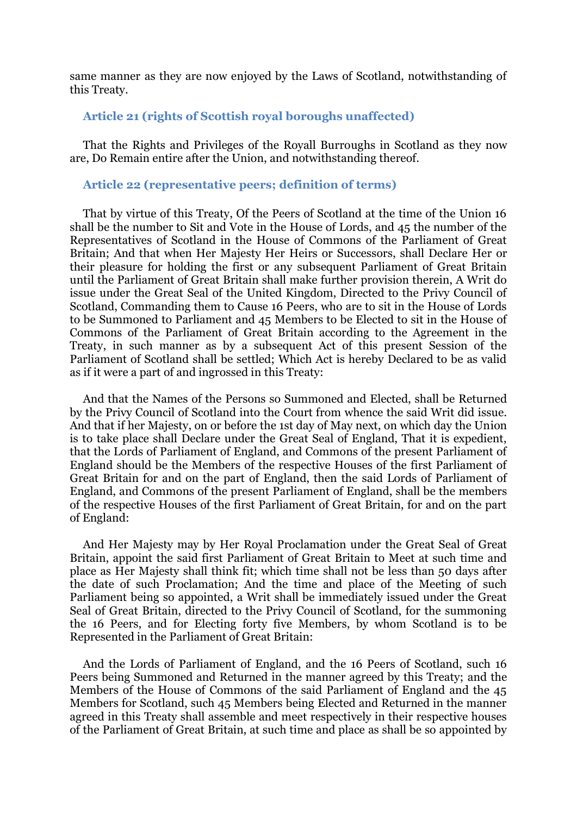same manner as they are now enjoyed by the Laws of Scotland, notwithstanding of this Treaty.

## **Article 21 (rights of Scottish royal boroughs unaffected)**

That the Rights and Privileges of the Royall Burroughs in Scotland as they now are, Do Remain entire after the Union, and notwithstanding thereof.

# **Article 22 (representative peers; definition of terms)**

That by virtue of this Treaty, Of the Peers of Scotland at the time of the Union 16 shall be the number to Sit and Vote in the House of Lords, and 45 the number of the Representatives of Scotland in the House of Commons of the Parliament of Great Britain; And that when Her Majesty Her Heirs or Successors, shall Declare Her or their pleasure for holding the first or any subsequent Parliament of Great Britain until the Parliament of Great Britain shall make further provision therein, A Writ do issue under the Great Seal of the United Kingdom, Directed to the Privy Council of Scotland, Commanding them to Cause 16 Peers, who are to sit in the House of Lords to be Summoned to Parliament and 45 Members to be Elected to sit in the House of Commons of the Parliament of Great Britain according to the Agreement in the Treaty, in such manner as by a subsequent Act of this present Session of the Parliament of Scotland shall be settled; Which Act is hereby Declared to be as valid as if it were a part of and ingrossed in this Treaty:

And that the Names of the Persons so Summoned and Elected, shall be Returned by the Privy Council of Scotland into the Court from whence the said Writ did issue. And that if her Majesty, on or before the 1st day of May next, on which day the Union is to take place shall Declare under the Great Seal of England, That it is expedient, that the Lords of Parliament of England, and Commons of the present Parliament of England should be the Members of the respective Houses of the first Parliament of Great Britain for and on the part of England, then the said Lords of Parliament of England, and Commons of the present Parliament of England, shall be the members of the respective Houses of the first Parliament of Great Britain, for and on the part of England:

And Her Majesty may by Her Royal Proclamation under the Great Seal of Great Britain, appoint the said first Parliament of Great Britain to Meet at such time and place as Her Majesty shall think fit; which time shall not be less than 50 days after the date of such Proclamation; And the time and place of the Meeting of such Parliament being so appointed, a Writ shall be immediately issued under the Great Seal of Great Britain, directed to the Privy Council of Scotland, for the summoning the 16 Peers, and for Electing forty five Members, by whom Scotland is to be Represented in the Parliament of Great Britain:

And the Lords of Parliament of England, and the 16 Peers of Scotland, such 16 Peers being Summoned and Returned in the manner agreed by this Treaty; and the Members of the House of Commons of the said Parliament of England and the 45 Members for Scotland, such 45 Members being Elected and Returned in the manner agreed in this Treaty shall assemble and meet respectively in their respective houses of the Parliament of Great Britain, at such time and place as shall be so appointed by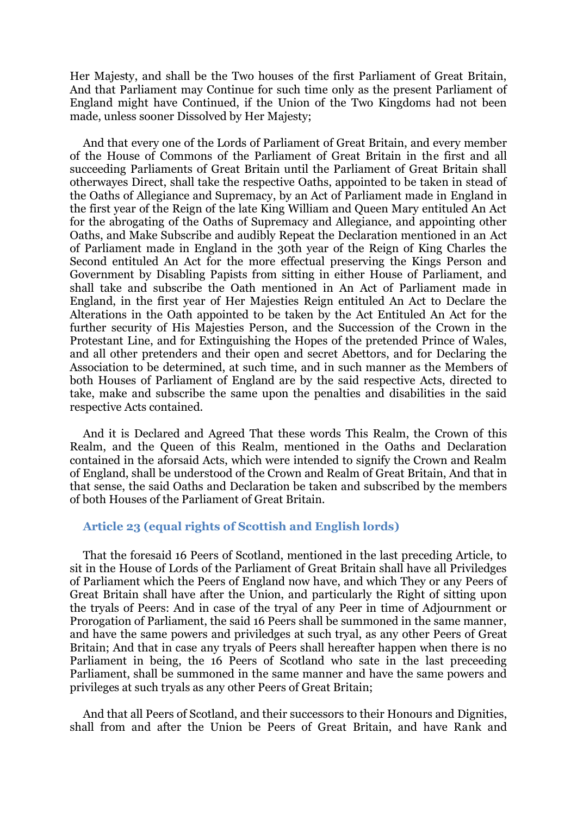Her Majesty, and shall be the Two houses of the first Parliament of Great Britain, And that Parliament may Continue for such time only as the present Parliament of England might have Continued, if the Union of the Two Kingdoms had not been made, unless sooner Dissolved by Her Majesty;

And that every one of the Lords of Parliament of Great Britain, and every member of the House of Commons of the Parliament of Great Britain in the first and all succeeding Parliaments of Great Britain until the Parliament of Great Britain shall otherwayes Direct, shall take the respective Oaths, appointed to be taken in stead of the Oaths of Allegiance and Supremacy, by an Act of Parliament made in England in the first year of the Reign of the late King William and Queen Mary entituled An Act for the abrogating of the Oaths of Supremacy and Allegiance, and appointing other Oaths, and Make Subscribe and audibly Repeat the Declaration mentioned in an Act of Parliament made in England in the 30th year of the Reign of King Charles the Second entituled An Act for the more effectual preserving the Kings Person and Government by Disabling Papists from sitting in either House of Parliament, and shall take and subscribe the Oath mentioned in An Act of Parliament made in England, in the first year of Her Majesties Reign entituled An Act to Declare the Alterations in the Oath appointed to be taken by the Act Entituled An Act for the further security of His Majesties Person, and the Succession of the Crown in the Protestant Line, and for Extinguishing the Hopes of the pretended Prince of Wales, and all other pretenders and their open and secret Abettors, and for Declaring the Association to be determined, at such time, and in such manner as the Members of both Houses of Parliament of England are by the said respective Acts, directed to take, make and subscribe the same upon the penalties and disabilities in the said respective Acts contained.

And it is Declared and Agreed That these words This Realm, the Crown of this Realm, and the Queen of this Realm, mentioned in the Oaths and Declaration contained in the aforsaid Acts, which were intended to signify the Crown and Realm of England, shall be understood of the Crown and Realm of Great Britain, And that in that sense, the said Oaths and Declaration be taken and subscribed by the members of both Houses of the Parliament of Great Britain.

# **Article 23 (equal rights of Scottish and English lords)**

That the foresaid 16 Peers of Scotland, mentioned in the last preceding Article, to sit in the House of Lords of the Parliament of Great Britain shall have all Priviledges of Parliament which the Peers of England now have, and which They or any Peers of Great Britain shall have after the Union, and particularly the Right of sitting upon the tryals of Peers: And in case of the tryal of any Peer in time of Adjournment or Prorogation of Parliament, the said 16 Peers shall be summoned in the same manner, and have the same powers and priviledges at such tryal, as any other Peers of Great Britain; And that in case any tryals of Peers shall hereafter happen when there is no Parliament in being, the 16 Peers of Scotland who sate in the last preceeding Parliament, shall be summoned in the same manner and have the same powers and privileges at such tryals as any other Peers of Great Britain;

And that all Peers of Scotland, and their successors to their Honours and Dignities, shall from and after the Union be Peers of Great Britain, and have Rank and